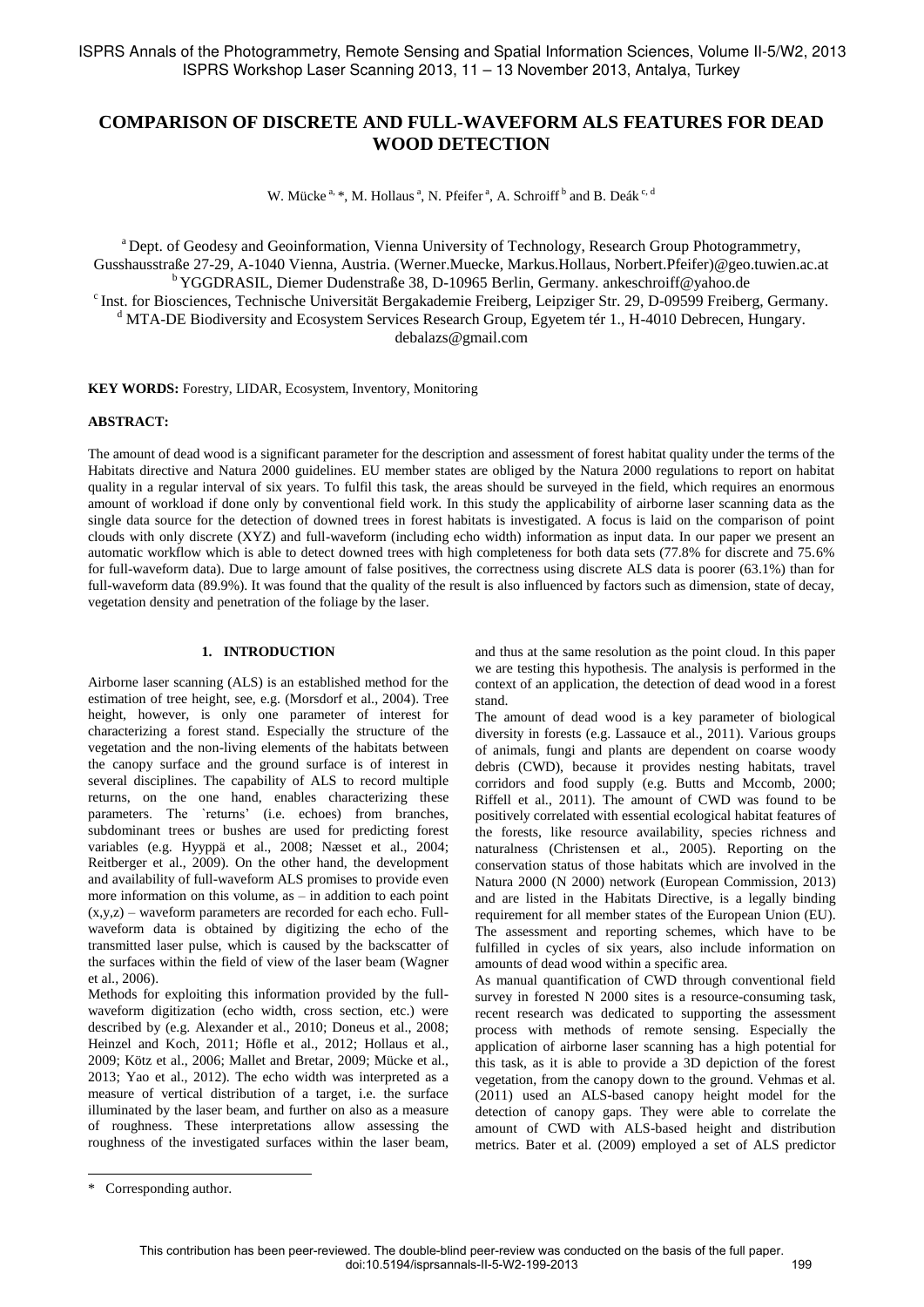# **COMPARISON OF DISCRETE AND FULL-WAVEFORM ALS FEATURES FOR DEAD WOOD DETECTION**

W. Mücke<sup>a, \*</sup>, M. Hollaus<sup>a</sup>, N. Pfeifer<sup>a</sup>, A. Schroiff<sup>b</sup> and B. Deák<sup>c, d</sup>

<sup>a</sup> Dept. of Geodesy and Geoinformation, Vienna University of Technology, Research Group Photogrammetry, Gusshausstraße 27-29, A-1040 Vienna, Austria. (Werner.Muecke, Markus.Hollaus, Norbert.Pfeifer)@geo.tuwien.ac.at <sup>b</sup>YGGDRASIL, Diemer Dudenstraße 38, D-10965 Berlin, Germany. ankeschroiff@yahoo.de <sup>c</sup> Inst. for Biosciences, Technische Universität Bergakademie Freiberg, Leipziger Str. 29, D-09599 Freiberg, Germany. <sup>d</sup> MTA-DE Biodiversity and Ecosystem Services Research Group, Egyetem tér 1., H-4010 Debrecen, Hungary. debalazs@gmail.com

**KEY WORDS:** Forestry, LIDAR, Ecosystem, Inventory, Monitoring

#### **ABSTRACT:**

The amount of dead wood is a significant parameter for the description and assessment of forest habitat quality under the terms of the Habitats directive and Natura 2000 guidelines. EU member states are obliged by the Natura 2000 regulations to report on habitat quality in a regular interval of six years. To fulfil this task, the areas should be surveyed in the field, which requires an enormous amount of workload if done only by conventional field work. In this study the applicability of airborne laser scanning data as the single data source for the detection of downed trees in forest habitats is investigated. A focus is laid on the comparison of point clouds with only discrete (XYZ) and full-waveform (including echo width) information as input data. In our paper we present an automatic workflow which is able to detect downed trees with high completeness for both data sets (77.8% for discrete and 75.6% for full-waveform data). Due to large amount of false positives, the correctness using discrete ALS data is poorer (63.1%) than for full-waveform data (89.9%). It was found that the quality of the result is also influenced by factors such as dimension, state of decay, vegetation density and penetration of the foliage by the laser.

# **1. INTRODUCTION**

Airborne laser scanning (ALS) is an established method for the estimation of tree height, see, e.g. (Morsdorf et al., 2004). Tree height, however, is only one parameter of interest for characterizing a forest stand. Especially the structure of the vegetation and the non-living elements of the habitats between the canopy surface and the ground surface is of interest in several disciplines. The capability of ALS to record multiple returns, on the one hand, enables characterizing these parameters. The `returns' (i.e. echoes) from branches, subdominant trees or bushes are used for predicting forest variables (e.g. Hyyppä et al., 2008; Næsset et al., 2004; Reitberger et al., 2009). On the other hand, the development and availability of full-waveform ALS promises to provide even more information on this volume, as – in addition to each point  $(x,y,z)$  – waveform parameters are recorded for each echo. Fullwaveform data is obtained by digitizing the echo of the transmitted laser pulse, which is caused by the backscatter of the surfaces within the field of view of the laser beam (Wagner et al., 2006).

Methods for exploiting this information provided by the fullwaveform digitization (echo width, cross section, etc.) were described by (e.g. Alexander et al., 2010; Doneus et al., 2008; Heinzel and Koch, 2011; Höfle et al., 2012; Hollaus et al., 2009; Kötz et al., 2006; Mallet and Bretar, 2009; Mücke et al., 2013; Yao et al., 2012). The echo width was interpreted as a measure of vertical distribution of a target, i.e. the surface illuminated by the laser beam, and further on also as a measure of roughness. These interpretations allow assessing the roughness of the investigated surfaces within the laser beam,

and thus at the same resolution as the point cloud. In this paper we are testing this hypothesis. The analysis is performed in the context of an application, the detection of dead wood in a forest stand.

The amount of dead wood is a key parameter of biological diversity in forests (e.g. Lassauce et al., 2011). Various groups of animals, fungi and plants are dependent on coarse woody debris (CWD), because it provides nesting habitats, travel corridors and food supply (e.g. Butts and Mccomb, 2000; Riffell et al., 2011). The amount of CWD was found to be positively correlated with essential ecological habitat features of the forests, like resource availability, species richness and naturalness (Christensen et al., 2005). Reporting on the conservation status of those habitats which are involved in the Natura 2000 (N 2000) network (European Commission, 2013) and are listed in the Habitats Directive, is a legally binding requirement for all member states of the European Union (EU). The assessment and reporting schemes, which have to be fulfilled in cycles of six years, also include information on amounts of dead wood within a specific area.

As manual quantification of CWD through conventional field survey in forested N 2000 sites is a resource-consuming task, recent research was dedicated to supporting the assessment process with methods of remote sensing. Especially the application of airborne laser scanning has a high potential for this task, as it is able to provide a 3D depiction of the forest vegetation, from the canopy down to the ground. Vehmas et al. (2011) used an ALS-based canopy height model for the detection of canopy gaps. They were able to correlate the amount of CWD with ALS-based height and distribution metrics. Bater et al. (2009) employed a set of ALS predictor

 $\overline{a}$ 

<sup>\*</sup> Corresponding author.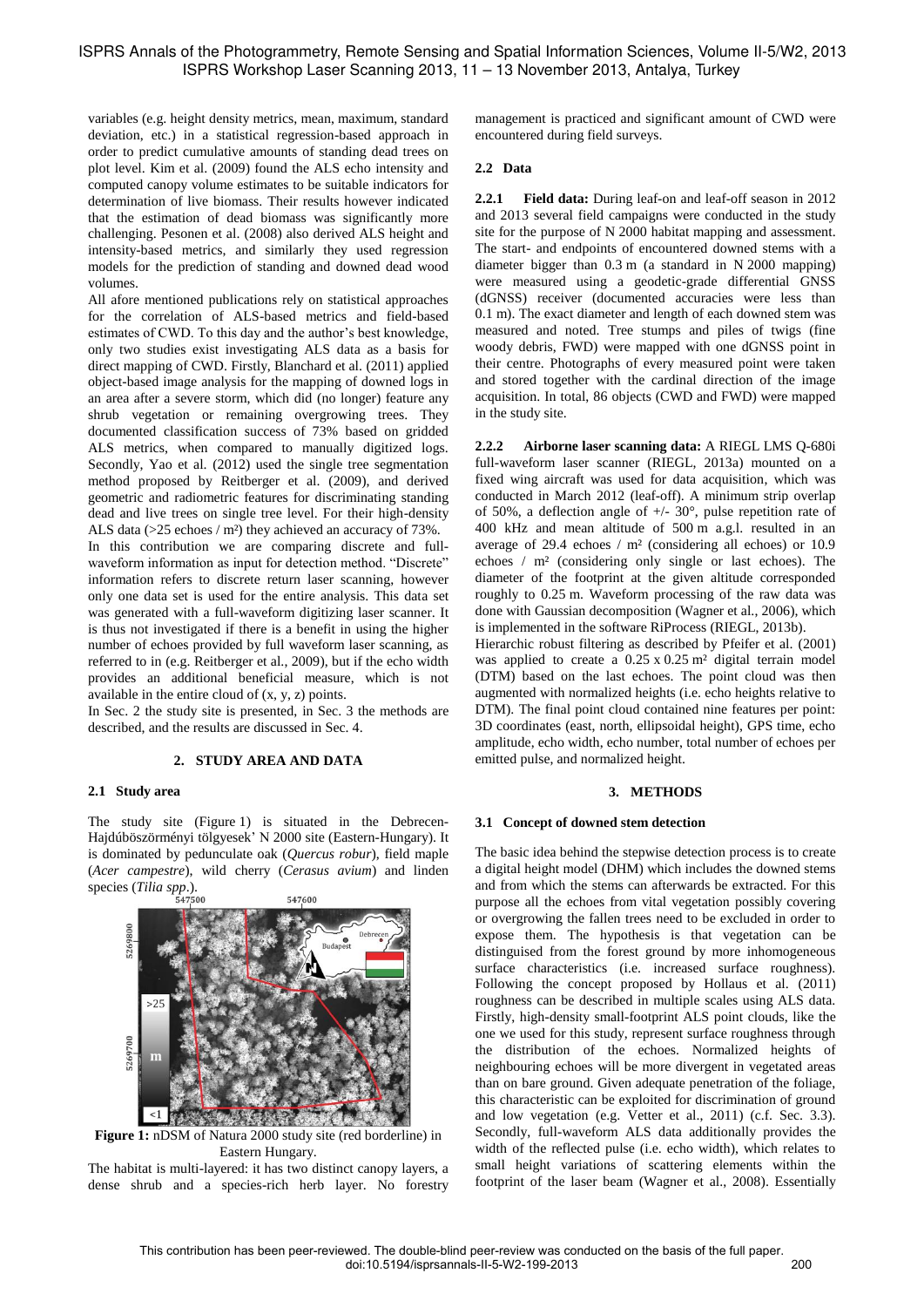variables (e.g. height density metrics, mean, maximum, standard deviation, etc.) in a statistical regression-based approach in order to predict cumulative amounts of standing dead trees on plot level. Kim et al. (2009) found the ALS echo intensity and computed canopy volume estimates to be suitable indicators for determination of live biomass. Their results however indicated that the estimation of dead biomass was significantly more challenging. Pesonen et al. (2008) also derived ALS height and intensity-based metrics, and similarly they used regression models for the prediction of standing and downed dead wood volumes.

All afore mentioned publications rely on statistical approaches for the correlation of ALS-based metrics and field-based estimates of CWD. To this day and the author's best knowledge, only two studies exist investigating ALS data as a basis for direct mapping of CWD. Firstly, Blanchard et al. (2011) applied object-based image analysis for the mapping of downed logs in an area after a severe storm, which did (no longer) feature any shrub vegetation or remaining overgrowing trees. They documented classification success of 73% based on gridded ALS metrics, when compared to manually digitized logs. Secondly, Yao et al. (2012) used the single tree segmentation method proposed by Reitberger et al. (2009), and derived geometric and radiometric features for discriminating standing dead and live trees on single tree level. For their high-density ALS data (>25 echoes / m<sup>2</sup>) they achieved an accuracy of 73%. In this contribution we are comparing discrete and fullwaveform information as input for detection method. "Discrete" information refers to discrete return laser scanning, however only one data set is used for the entire analysis. This data set was generated with a full-waveform digitizing laser scanner. It is thus not investigated if there is a benefit in using the higher number of echoes provided by full waveform laser scanning, as referred to in (e.g. Reitberger et al., 2009), but if the echo width provides an additional beneficial measure, which is not available in the entire cloud of (x, y, z) points.

In Sec. 2 the study site is presented, in Sec. 3 the methods are described, and the results are discussed in Sec. 4.

# **2. STUDY AREA AND DATA**

#### **2.1 Study area**

The study site (Figure 1) is situated in the Debrecen-Hajdúböszörményi tölgyesek" N 2000 site (Eastern-Hungary). It is dominated by pedunculate oak (*Quercus robur*), field maple (*Acer campestre*), wild cherry (*Cerasus avium*) and linden species (*Tilia spp*.). 547600



**Figure 1:** nDSM of Natura 2000 study site (red borderline) in Eastern Hungary.

The habitat is multi-layered: it has two distinct canopy layers, a dense shrub and a species-rich herb layer. No forestry management is practiced and significant amount of CWD were encountered during field surveys.

# **2.2 Data**

**2.2.1 Field data:** During leaf-on and leaf-off season in 2012 and 2013 several field campaigns were conducted in the study site for the purpose of N 2000 habitat mapping and assessment. The start- and endpoints of encountered downed stems with a diameter bigger than 0.3 m (a standard in N 2000 mapping) were measured using a geodetic-grade differential GNSS (dGNSS) receiver (documented accuracies were less than 0.1 m). The exact diameter and length of each downed stem was measured and noted. Tree stumps and piles of twigs (fine woody debris, FWD) were mapped with one dGNSS point in their centre. Photographs of every measured point were taken and stored together with the cardinal direction of the image acquisition. In total, 86 objects (CWD and FWD) were mapped in the study site.

**2.2.2 Airborne laser scanning data:** A RIEGL LMS Q-680i full-waveform laser scanner (RIEGL, 2013a) mounted on a fixed wing aircraft was used for data acquisition, which was conducted in March 2012 (leaf-off). A minimum strip overlap of 50%, a deflection angle of  $+/- 30^{\circ}$ , pulse repetition rate of 400 kHz and mean altitude of 500 m a.g.l. resulted in an average of 29.4 echoes / m² (considering all echoes) or 10.9 echoes / m² (considering only single or last echoes). The diameter of the footprint at the given altitude corresponded roughly to 0.25 m. Waveform processing of the raw data was done with Gaussian decomposition (Wagner et al., 2006), which is implemented in the software RiProcess (RIEGL, 2013b).

Hierarchic robust filtering as described by Pfeifer et al. (2001) was applied to create a  $0.25 \times 0.25$  m<sup>2</sup> digital terrain model (DTM) based on the last echoes. The point cloud was then augmented with normalized heights (i.e. echo heights relative to DTM). The final point cloud contained nine features per point: 3D coordinates (east, north, ellipsoidal height), GPS time, echo amplitude, echo width, echo number, total number of echoes per emitted pulse, and normalized height.

#### **3. METHODS**

#### **3.1 Concept of downed stem detection**

The basic idea behind the stepwise detection process is to create a digital height model (DHM) which includes the downed stems and from which the stems can afterwards be extracted. For this purpose all the echoes from vital vegetation possibly covering or overgrowing the fallen trees need to be excluded in order to expose them. The hypothesis is that vegetation can be distinguised from the forest ground by more inhomogeneous surface characteristics (i.e. increased surface roughness). Following the concept proposed by Hollaus et al. (2011) roughness can be described in multiple scales using ALS data. Firstly, high-density small-footprint ALS point clouds, like the one we used for this study, represent surface roughness through the distribution of the echoes. Normalized heights of neighbouring echoes will be more divergent in vegetated areas than on bare ground. Given adequate penetration of the foliage, this characteristic can be exploited for discrimination of ground and low vegetation (e.g. Vetter et al., 2011) (c.f. Sec. 3.3). Secondly, full-waveform ALS data additionally provides the width of the reflected pulse (i.e. echo width), which relates to small height variations of scattering elements within the footprint of the laser beam (Wagner et al., 2008). Essentially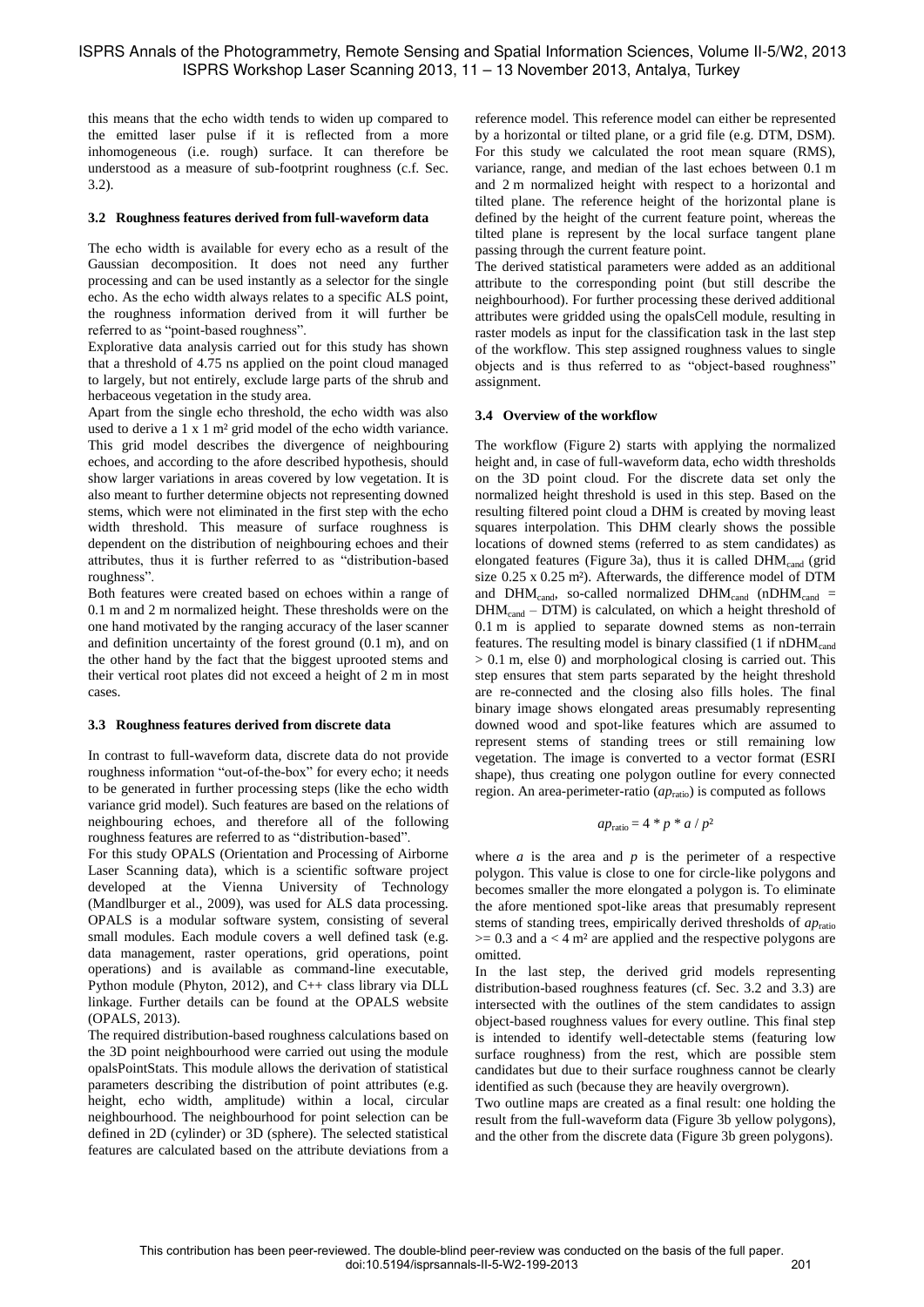this means that the echo width tends to widen up compared to the emitted laser pulse if it is reflected from a more inhomogeneous (i.e. rough) surface. It can therefore be understood as a measure of sub-footprint roughness (c.f. Sec. 3.2).

## **3.2 Roughness features derived from full-waveform data**

The echo width is available for every echo as a result of the Gaussian decomposition. It does not need any further processing and can be used instantly as a selector for the single echo. As the echo width always relates to a specific ALS point, the roughness information derived from it will further be referred to as "point-based roughness".

Explorative data analysis carried out for this study has shown that a threshold of 4.75 ns applied on the point cloud managed to largely, but not entirely, exclude large parts of the shrub and herbaceous vegetation in the study area.

Apart from the single echo threshold, the echo width was also used to derive a 1 x 1 m² grid model of the echo width variance. This grid model describes the divergence of neighbouring echoes, and according to the afore described hypothesis, should show larger variations in areas covered by low vegetation. It is also meant to further determine objects not representing downed stems, which were not eliminated in the first step with the echo width threshold. This measure of surface roughness is dependent on the distribution of neighbouring echoes and their attributes, thus it is further referred to as "distribution-based roughness".

Both features were created based on echoes within a range of 0.1 m and 2 m normalized height. These thresholds were on the one hand motivated by the ranging accuracy of the laser scanner and definition uncertainty of the forest ground (0.1 m), and on the other hand by the fact that the biggest uprooted stems and their vertical root plates did not exceed a height of 2 m in most cases.

# **3.3 Roughness features derived from discrete data**

In contrast to full-waveform data, discrete data do not provide roughness information "out-of-the-box" for every echo; it needs to be generated in further processing steps (like the echo width variance grid model). Such features are based on the relations of neighbouring echoes, and therefore all of the following roughness features are referred to as "distribution-based".

For this study OPALS (Orientation and Processing of Airborne Laser Scanning data), which is a scientific software project developed at the Vienna University of Technology (Mandlburger et al., 2009), was used for ALS data processing. OPALS is a modular software system, consisting of several small modules. Each module covers a well defined task (e.g. data management, raster operations, grid operations, point operations) and is available as command-line executable, Python module (Phyton, 2012), and C++ class library via DLL linkage. Further details can be found at the OPALS website (OPALS, 2013).

The required distribution-based roughness calculations based on the 3D point neighbourhood were carried out using the module opalsPointStats. This module allows the derivation of statistical parameters describing the distribution of point attributes (e.g. height, echo width, amplitude) within a local, circular neighbourhood. The neighbourhood for point selection can be defined in 2D (cylinder) or 3D (sphere). The selected statistical features are calculated based on the attribute deviations from a

reference model. This reference model can either be represented by a horizontal or tilted plane, or a grid file (e.g. DTM, DSM). For this study we calculated the root mean square (RMS), variance, range, and median of the last echoes between 0.1 m and 2 m normalized height with respect to a horizontal and tilted plane. The reference height of the horizontal plane is defined by the height of the current feature point, whereas the tilted plane is represent by the local surface tangent plane passing through the current feature point.

The derived statistical parameters were added as an additional attribute to the corresponding point (but still describe the neighbourhood). For further processing these derived additional attributes were gridded using the opalsCell module, resulting in raster models as input for the classification task in the last step of the workflow. This step assigned roughness values to single objects and is thus referred to as "object-based roughness" assignment.

# **3.4 Overview of the workflow**

The workflow (Figure 2) starts with applying the normalized height and, in case of full-waveform data, echo width thresholds on the 3D point cloud. For the discrete data set only the normalized height threshold is used in this step. Based on the resulting filtered point cloud a DHM is created by moving least squares interpolation. This DHM clearly shows the possible locations of downed stems (referred to as stem candidates) as elongated features (Figure 3a), thus it is called  $DHM_{cand}$  (grid size 0.25 x 0.25 m²). Afterwards, the difference model of DTM and  $DHM_{cand}$ , so-called normalized  $DHM_{cand}$  (nDHM<sub>cand</sub> =  $DHM<sub>cand</sub> - DTM$ ) is calculated, on which a height threshold of 0.1 m is applied to separate downed stems as non-terrain features. The resulting model is binary classified  $(1 \text{ if nDHM}_{cand})$ > 0.1 m, else 0) and morphological closing is carried out. This step ensures that stem parts separated by the height threshold are re-connected and the closing also fills holes. The final binary image shows elongated areas presumably representing downed wood and spot-like features which are assumed to represent stems of standing trees or still remaining low vegetation. The image is converted to a vector format (ESRI shape), thus creating one polygon outline for every connected region. An area-perimeter-ratio (*ap*<sub>ratio</sub>) is computed as follows

$$
ap_{\rm ratio} = 4 \cdot p \cdot a / p^2
$$

where  $a$  is the area and  $p$  is the perimeter of a respective polygon. This value is close to one for circle-like polygons and becomes smaller the more elongated a polygon is. To eliminate the afore mentioned spot-like areas that presumably represent stems of standing trees, empirically derived thresholds of *ap*ratio  $>= 0.3$  and  $a < 4$  m<sup>2</sup> are applied and the respective polygons are omitted.

In the last step, the derived grid models representing distribution-based roughness features (cf. Sec. 3.2 and 3.3) are intersected with the outlines of the stem candidates to assign object-based roughness values for every outline. This final step is intended to identify well-detectable stems (featuring low surface roughness) from the rest, which are possible stem candidates but due to their surface roughness cannot be clearly identified as such (because they are heavily overgrown).

Two outline maps are created as a final result: one holding the result from the full-waveform data (Figure 3b yellow polygons), and the other from the discrete data (Figure 3b green polygons).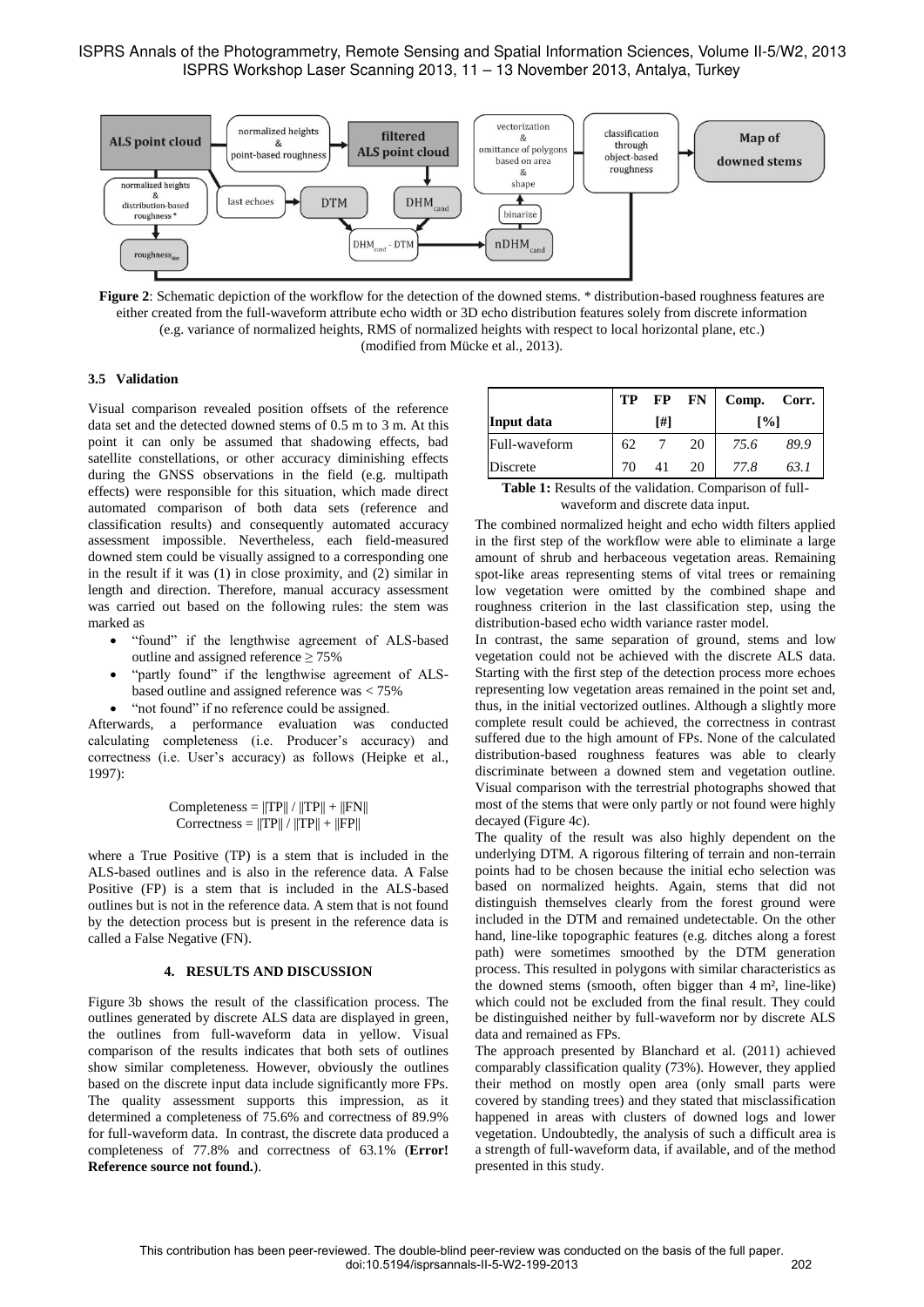

**Figure 2**: Schematic depiction of the workflow for the detection of the downed stems. \* distribution-based roughness features are either created from the full-waveform attribute echo width or 3D echo distribution features solely from discrete information (e.g. variance of normalized heights, RMS of normalized heights with respect to local horizontal plane, etc.) (modified from Mücke et al., 2013).

# **3.5 Validation**

Visual comparison revealed position offsets of the reference data set and the detected downed stems of 0.5 m to 3 m. At this point it can only be assumed that shadowing effects, bad satellite constellations, or other accuracy diminishing effects during the GNSS observations in the field (e.g. multipath effects) were responsible for this situation, which made direct automated comparison of both data sets (reference and classification results) and consequently automated accuracy assessment impossible. Nevertheless, each field-measured downed stem could be visually assigned to a corresponding one in the result if it was (1) in close proximity, and (2) similar in length and direction. Therefore, manual accuracy assessment was carried out based on the following rules: the stem was marked as

- "found" if the lengthwise agreement of ALS-based outline and assigned reference  $\geq 75\%$
- "partly found" if the lengthwise agreement of ALSbased outline and assigned reference was < 75%
- "not found" if no reference could be assigned.

Afterwards, a performance evaluation was conducted calculating completeness (i.e. Producer"s accuracy) and correctness (i.e. User"s accuracy) as follows (Heipke et al., 1997):

$$
Completeness = ||TP|| / ||TP|| + ||FN||
$$
  
Correctness = 
$$
||TP|| / ||TP|| + ||FP||
$$

where a True Positive (TP) is a stem that is included in the ALS-based outlines and is also in the reference data. A False Positive (FP) is a stem that is included in the ALS-based outlines but is not in the reference data. A stem that is not found by the detection process but is present in the reference data is called a False Negative (FN).

## **4. RESULTS AND DISCUSSION**

Figure 3b shows the result of the classification process. The outlines generated by discrete ALS data are displayed in green, the outlines from full-waveform data in yellow. Visual comparison of the results indicates that both sets of outlines show similar completeness. However, obviously the outlines based on the discrete input data include significantly more FPs. The quality assessment supports this impression, as it determined a completeness of 75.6% and correctness of 89.9% for full-waveform data. In contrast, the discrete data produced a completeness of 77.8% and correctness of 63.1% (**Error! Reference source not found.**).

|               | TP  | FP | <b>FN</b>          | Comp. | Corr. |
|---------------|-----|----|--------------------|-------|-------|
| Input data    | [#] |    | $\lceil \% \rceil$ |       |       |
| Full-waveform | 62  |    | 20                 | 75.6  | 89.9  |
| Discrete      |     |    | 20                 | 77.8  | 63.1  |

**Table 1:** Results of the validation. Comparison of fullwaveform and discrete data input.

The combined normalized height and echo width filters applied in the first step of the workflow were able to eliminate a large amount of shrub and herbaceous vegetation areas. Remaining spot-like areas representing stems of vital trees or remaining low vegetation were omitted by the combined shape and roughness criterion in the last classification step, using the distribution-based echo width variance raster model.

In contrast, the same separation of ground, stems and low vegetation could not be achieved with the discrete ALS data. Starting with the first step of the detection process more echoes representing low vegetation areas remained in the point set and, thus, in the initial vectorized outlines. Although a slightly more complete result could be achieved, the correctness in contrast suffered due to the high amount of FPs. None of the calculated distribution-based roughness features was able to clearly discriminate between a downed stem and vegetation outline. Visual comparison with the terrestrial photographs showed that most of the stems that were only partly or not found were highly decayed (Figure 4c).

The quality of the result was also highly dependent on the underlying DTM. A rigorous filtering of terrain and non-terrain points had to be chosen because the initial echo selection was based on normalized heights. Again, stems that did not distinguish themselves clearly from the forest ground were included in the DTM and remained undetectable. On the other hand, line-like topographic features (e.g. ditches along a forest path) were sometimes smoothed by the DTM generation process. This resulted in polygons with similar characteristics as the downed stems (smooth, often bigger than 4 m², line-like) which could not be excluded from the final result. They could be distinguished neither by full-waveform nor by discrete ALS data and remained as FPs.

The approach presented by Blanchard et al. (2011) achieved comparably classification quality (73%). However, they applied their method on mostly open area (only small parts were covered by standing trees) and they stated that misclassification happened in areas with clusters of downed logs and lower vegetation. Undoubtedly, the analysis of such a difficult area is a strength of full-waveform data, if available, and of the method presented in this study.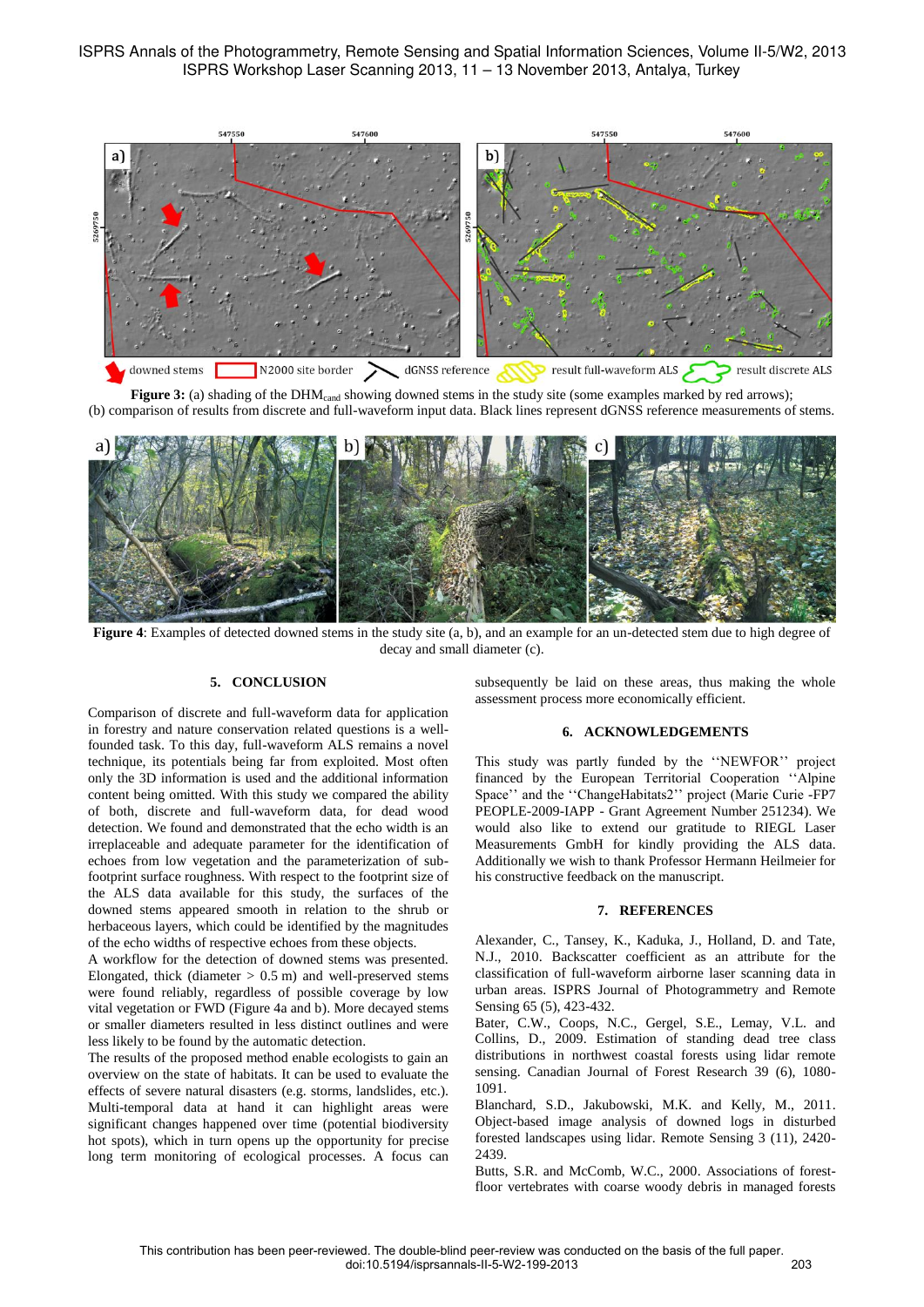ISPRS Annals of the Photogrammetry, Remote Sensing and Spatial Information Sciences, Volume II-5/W2, 2013 ISPRS Workshop Laser Scanning 2013, 11 – 13 November 2013, Antalya, Turkey



**Figure 3:** (a) shading of the DHM<sub>cand</sub> showing downed stems in the study site (some examples marked by red arrows);

(b) comparison of results from discrete and full-waveform input data. Black lines represent dGNSS reference measurements of stems.



**Figure 4**: Examples of detected downed stems in the study site (a, b), and an example for an un-detected stem due to high degree of decay and small diameter (c).

## **5. CONCLUSION**

Comparison of discrete and full-waveform data for application in forestry and nature conservation related questions is a wellfounded task. To this day, full-waveform ALS remains a novel technique, its potentials being far from exploited. Most often only the 3D information is used and the additional information content being omitted. With this study we compared the ability of both, discrete and full-waveform data, for dead wood detection. We found and demonstrated that the echo width is an irreplaceable and adequate parameter for the identification of echoes from low vegetation and the parameterization of subfootprint surface roughness. With respect to the footprint size of the ALS data available for this study, the surfaces of the downed stems appeared smooth in relation to the shrub or herbaceous layers, which could be identified by the magnitudes of the echo widths of respective echoes from these objects.

A workflow for the detection of downed stems was presented. Elongated, thick (diameter  $> 0.5$  m) and well-preserved stems were found reliably, regardless of possible coverage by low vital vegetation or FWD (Figure 4a and b). More decayed stems or smaller diameters resulted in less distinct outlines and were less likely to be found by the automatic detection.

The results of the proposed method enable ecologists to gain an overview on the state of habitats. It can be used to evaluate the effects of severe natural disasters (e.g. storms, landslides, etc.). Multi-temporal data at hand it can highlight areas were significant changes happened over time (potential biodiversity hot spots), which in turn opens up the opportunity for precise long term monitoring of ecological processes. A focus can

subsequently be laid on these areas, thus making the whole assessment process more economically efficient.

### **6. ACKNOWLEDGEMENTS**

This study was partly funded by the "NEWFOR" project financed by the European Territorial Cooperation ""Alpine Space" and the "ChangeHabitats2" project (Marie Curie -FP7 PEOPLE-2009-IAPP - Grant Agreement Number 251234). We would also like to extend our gratitude to RIEGL Laser Measurements GmbH for kindly providing the ALS data. Additionally we wish to thank Professor Hermann Heilmeier for his constructive feedback on the manuscript.

### **7. REFERENCES**

Alexander, C., Tansey, K., Kaduka, J., Holland, D. and Tate, N.J., 2010. Backscatter coefficient as an attribute for the classification of full-waveform airborne laser scanning data in urban areas. ISPRS Journal of Photogrammetry and Remote Sensing 65 (5), 423-432.

Bater, C.W., Coops, N.C., Gergel, S.E., Lemay, V.L. and Collins, D., 2009. Estimation of standing dead tree class distributions in northwest coastal forests using lidar remote sensing. Canadian Journal of Forest Research 39 (6), 1080- 1091.

Blanchard, S.D., Jakubowski, M.K. and Kelly, M., 2011. Object-based image analysis of downed logs in disturbed forested landscapes using lidar. Remote Sensing 3 (11), 2420- 2439.

Butts, S.R. and McComb, W.C., 2000. Associations of forestfloor vertebrates with coarse woody debris in managed forests